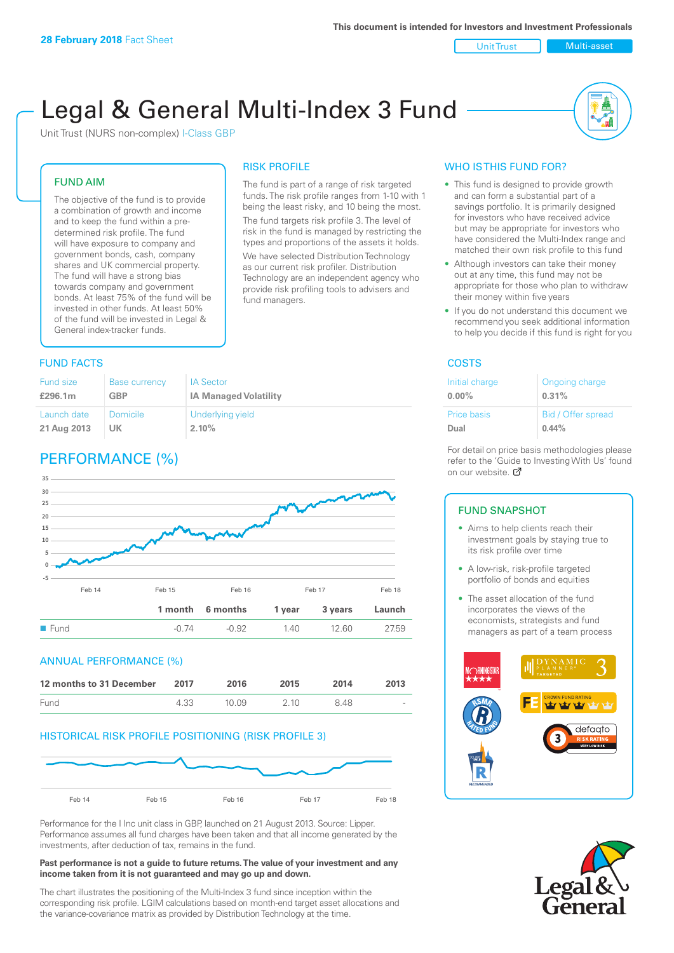# Unit Trust Multi-asset

# Legal & General Multi-Index 3 Fund

RISK PROFILE

fund managers.

The fund is part of a range of risk targeted funds. The risk profile ranges from 1-10 with 1 being the least risky, and 10 being the most. The fund targets risk profile 3. The level of risk in the fund is managed by restricting the types and proportions of the assets it holds. We have selected Distribution Technology as our current risk profiler. Distribution Technology are an independent agency who provide risk profiling tools to advisers and

Unit Trust (NURS non-complex) I-Class GBP

# FUND AIM

The objective of the fund is to provide a combination of growth and income and to keep the fund within a predetermined risk profile. The fund will have exposure to company and government bonds, cash, company shares and UK commercial property. The fund will have a strong bias towards company and government bonds. At least 75% of the fund will be invested in other funds. At least 50% of the fund will be invested in Legal & General index-tracker funds.

# **FUND FACTS** COSTS

| Fund size   | Base currency | <b>IA Sector</b>             |
|-------------|---------------|------------------------------|
| £296.1m     | <b>GBP</b>    | <b>IA Managed Volatility</b> |
| Launch date | Domicile      | Underlying yield             |
| 21 Aug 2013 | UK            | 2.10%                        |

# PERFORMANCE (%)



# ANNUAL PERFORMANCE (%)

| 12 months to 31 December | 2017 | 2016   | 2015  | 2014 | 2013                     |
|--------------------------|------|--------|-------|------|--------------------------|
| Fund                     | 4.33 | 10 Q.9 | 2 1 0 | 848  | $\overline{\phantom{a}}$ |

# HISTORICAL RISK PROFILE POSITIONING (RISK PROFILE 3)



Performance for the I Inc unit class in GBP, launched on 21 August 2013. Source: Lipper. Performance assumes all fund charges have been taken and that all income generated by the investments, after deduction of tax, remains in the fund.

#### **Past performance is not a guide to future returns. The value of your investment and any income taken from it is not guaranteed and may go up and down.**

The chart illustrates the positioning of the Multi-Index 3 fund since inception within the corresponding risk profile. LGIM calculations based on month-end target asset allocations and the variance-covariance matrix as provided by Distribution Technology at the time.

# WHO IS THIS FUND FOR?

- This fund is designed to provide growth and can form a substantial part of a savings portfolio. It is primarily designed for investors who have received advice but may be appropriate for investors who have considered the Multi-Index range and matched their own risk profile to this fund
- Although investors can take their money out at any time, this fund may not be appropriate for those who plan to withdraw their money within five years
- If you do not understand this document we recommend you seek additional information to help you decide if this fund is right for you

| Initial charge | Ongoing charge     |
|----------------|--------------------|
| $0.00\%$       | 0.31%              |
| Price basis    | Bid / Offer spread |
| Dual           | $0.44\%$           |

For detail on price basis methodologies please refer to the 'Gu[ide t](http://www.legalandgeneral.com/guide)o Investing With Us' found on our website. Ø

# FUND SNAPSHOT

- Aims to help clients reach their investment goals by staying true to its risk profile over time
- A low-risk, risk-profile targeted portfolio of bonds and equities
- The asset allocation of the fund incorporates the views of the economists, strategists and fund managers as part of a team process



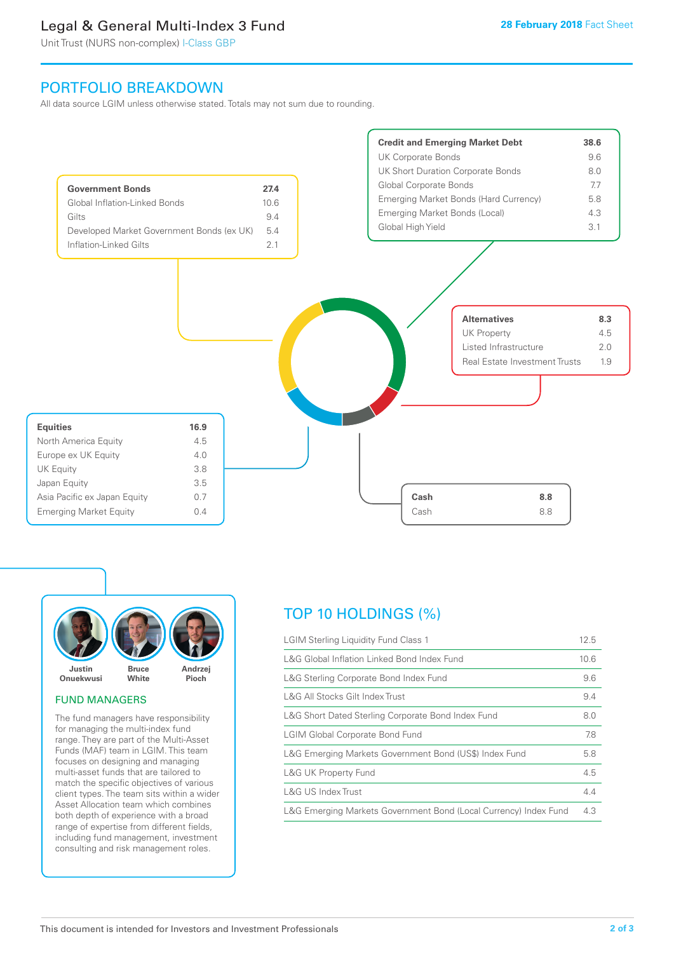# Legal & General Multi-Index 3 Fund

Unit Trust (NURS non-complex) I-Class GBP

# PORTFOLIO BREAKDOWN

All data source LGIM unless otherwise stated. Totals may not sum due to rounding.





# FUND MANAGERS

The fund managers have responsibility for managing the multi-index fund range. They are part of the Multi-Asset Funds (MAF) team in LGIM. This team focuses on designing and managing multi-asset funds that are tailored to match the specific objectives of various client types. The team sits within a wider Asset Allocation team which combines both depth of experience with a broad range of expertise from different fields, including fund management, investment consulting and risk management roles.

# TOP 10 HOLDINGS (%)

| <b>LGIM Sterling Liquidity Fund Class 1</b>                      | 12.5 |
|------------------------------------------------------------------|------|
| L&G Global Inflation Linked Bond Index Fund                      | 10.6 |
| L&G Sterling Corporate Bond Index Fund                           | 9.6  |
| L&G All Stocks Gilt Index Trust                                  | 9.4  |
| L&G Short Dated Sterling Corporate Bond Index Fund               | 8.0  |
| <b>LGIM Global Corporate Bond Fund</b>                           | 7.8  |
| L&G Emerging Markets Government Bond (US\$) Index Fund           | 5.8  |
| L&G UK Property Fund                                             | 4.5  |
| L&G US Index Trust                                               | 4.4  |
| L&G Emerging Markets Government Bond (Local Currency) Index Fund | 4.3  |